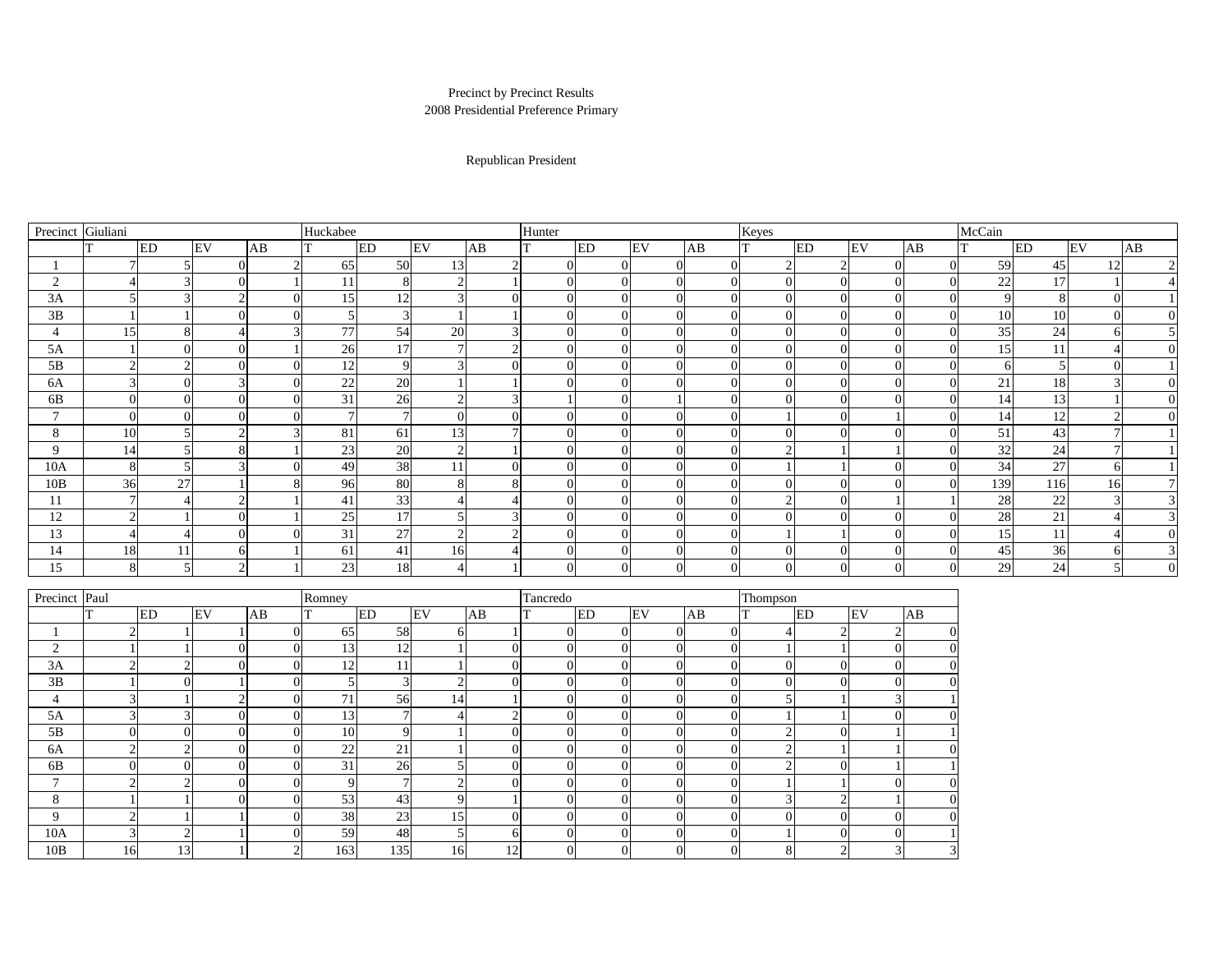| Precinct       | Giuliani |                |                         |    |                |                | Huckabee       |                 |                |                | Hunter                    |          |                |                | Keyes          |                  |                  |                | McCain |           |    |                  |
|----------------|----------|----------------|-------------------------|----|----------------|----------------|----------------|-----------------|----------------|----------------|---------------------------|----------|----------------|----------------|----------------|------------------|------------------|----------------|--------|-----------|----|------------------|
|                |          |                | ED                      | EV |                | AB             | $\mathbf{T}$   | ED              | EV             | AB             | <b>ED</b><br>т            |          | EV             | AB             | <sup>T</sup>   | ED               | EV               | AB             | T      | <b>ED</b> | EV | AB               |
|                |          |                | 5                       |    | $\Omega$       | $\overline{2}$ | 65             | 50              | 13             | $\overline{2}$ | $\overline{0}$            |          | $\overline{0}$ | $\overline{0}$ | $\overline{2}$ | $\overline{2}$   | $\overline{0}$   | $\overline{0}$ | 59     | 45        | 12 | $\overline{2}$   |
| $\overline{2}$ |          |                |                         |    | 0              |                | 11             | 8               | $\overline{2}$ |                | $\Omega$                  |          | $\overline{0}$ | $\overline{0}$ | $\overline{0}$ | $\overline{0}$   | $\overline{0}$   | $\theta$       | 22     | 17        |    | 4                |
| 3A             |          |                |                         |    | $\overline{2}$ | $\overline{0}$ | 15             | 12              | 3              | $\Omega$       | $\Omega$                  |          | $\overline{0}$ | $\overline{0}$ | $\overline{0}$ | $\overline{0}$   | $\theta$         | $\Omega$       | 9      | 8         |    |                  |
| 3B             |          |                |                         |    |                | $\overline{0}$ | 5              | 3               |                |                | $\Omega$                  |          | $\Omega$       | ∩              | $\overline{0}$ | $\overline{0}$   | $\Omega$         | $\overline{0}$ | 10     | 10        |    | $\boldsymbol{0}$ |
| 4              |          | 15             | 8 <sup>1</sup>          |    | 4              | 3              | 77             | 54              | 20             | 3              | $\Omega$                  |          | $\Omega$       | $\Omega$       | $\overline{0}$ | $\overline{0}$   | $\overline{0}$   | $\Omega$       | 35     | 24        |    | 5                |
| 5A             |          |                | $\Omega$                |    |                |                | 26             | 17              | $\mathbf{r}$   | $\bigcap$      | $\Omega$                  |          | $\Omega$       |                | $\Omega$       | $\Omega$         | $\theta$         | $\Omega$       | 15     | 11        |    | $\overline{0}$   |
| 5B             |          |                | ◠                       |    | $\Omega$       | $\overline{0}$ | 12             | 9               | 3              | $\Omega$       | $\Omega$                  |          | $\Omega$       | $\Omega$       | $\overline{0}$ | $\overline{0}$   | $\overline{0}$   | $\overline{0}$ | -6     |           |    |                  |
| 6A             |          | 3              | $\theta$                |    | 3 <sup>1</sup> | $\overline{0}$ | 22             | 20              |                |                | $\Omega$                  |          | $\Omega$       | $\overline{0}$ | $\overline{0}$ | $\overline{0}$   | $\overline{0}$   | $\Omega$       | 21     | 18        |    | $\boldsymbol{0}$ |
| 6B             |          |                | $\overline{0}$          |    | $\Omega$       | $\overline{0}$ | 31             | 26              | $\overline{2}$ | 3              |                           |          |                | $\Omega$       | $\overline{0}$ | $\overline{0}$   | $\theta$         | $\Omega$       | 14     | 13        |    | $\overline{0}$   |
| $\mathbf{z}$   |          |                | $\Omega$                |    | $\overline{0}$ | $\overline{0}$ | $\overline{7}$ | $\overline{7}$  | $\Omega$       | $\Omega$       | $\overline{0}$            |          | $\Omega$       | $\overline{0}$ |                | $\overline{0}$   |                  | $\overline{0}$ | 14     | 12        |    | $\overline{0}$   |
| 8              |          | 10             | $\overline{\mathbf{S}}$ |    | $\overline{2}$ |                | 81             | 61              | 13             |                | $\Omega$                  |          | $\Omega$       | $\Omega$       | $\overline{0}$ | $\Omega$         | $\Omega$         | $\Omega$       | 51     | 43        |    |                  |
| 9              |          | 14             | 5                       |    | 8              |                | 23             | 20              | $\overline{2}$ |                | $\overline{0}$            |          | $\Omega$       | $\overline{0}$ | $\overline{2}$ |                  |                  | $\Omega$       | 32     | 24        |    |                  |
| 10A            |          | 8              | $\leq$                  |    | $\overline{3}$ | $\Omega$       | 49             | 38              | 11             | ∩              | $\Omega$                  |          | $\Omega$       | 0              |                |                  | $\Omega$         | $\Omega$       | 34     | 27        |    |                  |
| 10B            |          | 36             | 27                      |    |                | 8              | 96             | 80              | 8              | 8              | $\overline{0}$            |          | $\Omega$       | $\overline{0}$ | $\overline{0}$ | $\overline{0}$   | $\Omega$         | $\Omega$       | 139    | 116       | 16 | $\overline{7}$   |
| 11             |          |                |                         |    | $\overline{2}$ |                | 41             | 33              | $\overline{4}$ |                | $\Omega$                  |          | $\theta$       | $\overline{0}$ | $\overline{2}$ | $\overline{0}$   |                  |                | 28     | 22        |    | 3                |
| 12             |          |                |                         |    | ∩              |                | 25             | 17              | 5              | $\Omega$       | $\Omega$                  |          | $\Omega$       | $\Omega$       | $\overline{0}$ | $\Omega$         | $\Omega$         | $\Omega$       | 28     | 21        |    | 3                |
| 13             |          |                |                         |    | 0              | $\Omega$       | 31             | $\overline{27}$ | $\overline{2}$ | $\bigcap$      | $\Omega$                  |          | $\Omega$       | $\Omega$       |                |                  | $\Omega$         | $\Omega$       | 15     | 11        |    | $\boldsymbol{0}$ |
| 14             |          | 18             | 11                      |    | 61             |                | 61             | 41              | 16             |                | $\Omega$                  |          | $\Omega$       |                | $\overline{0}$ | $\overline{0}$   | $\Omega$         | $\Omega$       | 45     | 36        |    | $\mathfrak{Z}$   |
| 15             |          | 8              | $\overline{\mathbf{z}}$ |    | $\overline{2}$ |                | 23             | 18              | $\overline{4}$ |                | $\Omega$                  |          | $\Omega$       | $\Omega$       | $\Omega$       | $\overline{0}$   | $\theta$         | $\Omega$       | 29     | 24        |    | $\overline{0}$   |
|                |          |                |                         |    |                |                |                |                 |                |                |                           |          |                |                |                |                  |                  |                |        |           |    |                  |
| Precinct Paul  |          |                |                         |    |                |                | Romney         |                 |                |                | Tancredo                  |          |                |                | Thompson       |                  |                  |                |        |           |    |                  |
|                | T.       |                | <b>ED</b>               | EV |                | AB             | $\mathbf{T}$   | ED              | EV             | AB             | <b>ED</b><br>$\mathbf{T}$ |          | EV             | AB             | $\mathbf{T}$   | ED               | EV               | AB             |        |           |    |                  |
|                |          |                |                         |    |                | $\overline{0}$ | 65             | 58              | 6              |                | $\overline{0}$            |          | $\overline{0}$ | $\Omega$       |                | $\overline{2}$   | $\mathcal{D}$    |                |        |           |    |                  |
| 2              |          |                |                         |    |                | $\Omega$       | 13             | 12              |                | $\Omega$       | $\Omega$                  |          | $\Omega$       | $\Omega$       |                |                  | $\Omega$         |                |        |           |    |                  |
| 3A             |          |                | ⌒                       |    |                | $\overline{0}$ | 12             | 11              |                | $\Omega$       | $\Omega$                  |          | $\overline{0}$ | $\Omega$       | $\overline{0}$ | $\overline{0}$   | $\Omega$         |                |        |           |    |                  |
| 3B             |          |                | $\Omega$                |    |                | $\Omega$       | 5              | 3               | $\bigcap$      | ∩              | $\Omega$                  |          | $\Omega$       |                | $\Omega$       | $\Omega$         | $\Omega$         |                |        |           |    |                  |
| $\overline{4}$ |          | ◠              |                         |    | $\overline{2}$ | $\overline{0}$ | 71             | 56              | 14             |                | $\Omega$                  |          | $\Omega$       |                |                |                  | 3                |                |        |           |    |                  |
| 5A             |          | 3 <sup>l</sup> | 3 <sup>1</sup>          |    | $\overline{0}$ | 0              | 13             |                 | $\overline{4}$ | $\overline{2}$ | $\overline{0}$            | $\Omega$ | $\overline{0}$ | $\overline{0}$ | 1              |                  | $\overline{0}$   |                |        |           |    |                  |
| 5B             |          | $\Omega$       | $\overline{0}$          |    | $\overline{0}$ | 0              | 10             | 9               |                | $\mathbf{0}$   | $\overline{0}$            |          | $\overline{0}$ | $\overline{0}$ | $\overline{2}$ | $\overline{0}$   |                  |                |        |           |    |                  |
| 6A             |          | $\overline{2}$ | $\overline{2}$          |    | $\overline{0}$ | 0              | 22             | 21              |                | $\overline{0}$ | $\overline{0}$            | $\Omega$ | $\overline{0}$ | $\overline{0}$ | $\overline{2}$ |                  |                  |                |        |           |    |                  |
| 6B             |          | $\Omega$       | $\overline{0}$          |    | $\overline{0}$ | 0              | 31             | 26              | 5              | $\theta$       | $\overline{0}$            | $\Omega$ | $\overline{0}$ | $\overline{0}$ | $\overline{2}$ | $\overline{0}$   |                  |                |        |           |    |                  |
| $\tau$         |          | ◠              | $\overline{2}$          |    | $\overline{0}$ | 0              | 9              | $\overline{7}$  | $\overline{2}$ | $\mathbf{0}$   | $\overline{0}$            | $\Omega$ | $\overline{0}$ | $\overline{0}$ |                |                  | $\overline{0}$   |                |        |           |    |                  |
| 8              |          |                |                         |    | $\Omega$       | $\overline{0}$ | 53             | 43              | 9              |                | $\overline{0}$            | ∩        | $\overline{0}$ | $\overline{0}$ | 3 <sup>l</sup> | $\overline{2}$   |                  | ſ              |        |           |    |                  |
| 9              |          | ↑              |                         |    |                | 0              | 38             | 23              | 15             | $\mathbf{0}$   | $\overline{0}$            |          | $\overline{0}$ | $\overline{0}$ | $\overline{0}$ | $\overline{0}$   | $\boldsymbol{0}$ |                |        |           |    |                  |
| 10A            |          | 3              | $\bigcap$               |    |                | $\overline{0}$ | 59             | 48              | 5              | 6              | $\overline{0}$            |          | $\overline{0}$ | $\overline{0}$ |                | $\boldsymbol{0}$ | $\overline{0}$   |                |        |           |    |                  |
| 10B            |          | 16             | 13                      |    |                | $\overline{2}$ | 163            | 135             | 16             | 12             | $\vert 0 \vert$           |          | $\overline{0}$ | $\overline{0}$ | 8              | $\overline{2}$   | 3                | 3              |        |           |    |                  |

## Precinct by Precinct Results 2008 Presidential Preference Primary

## Republican President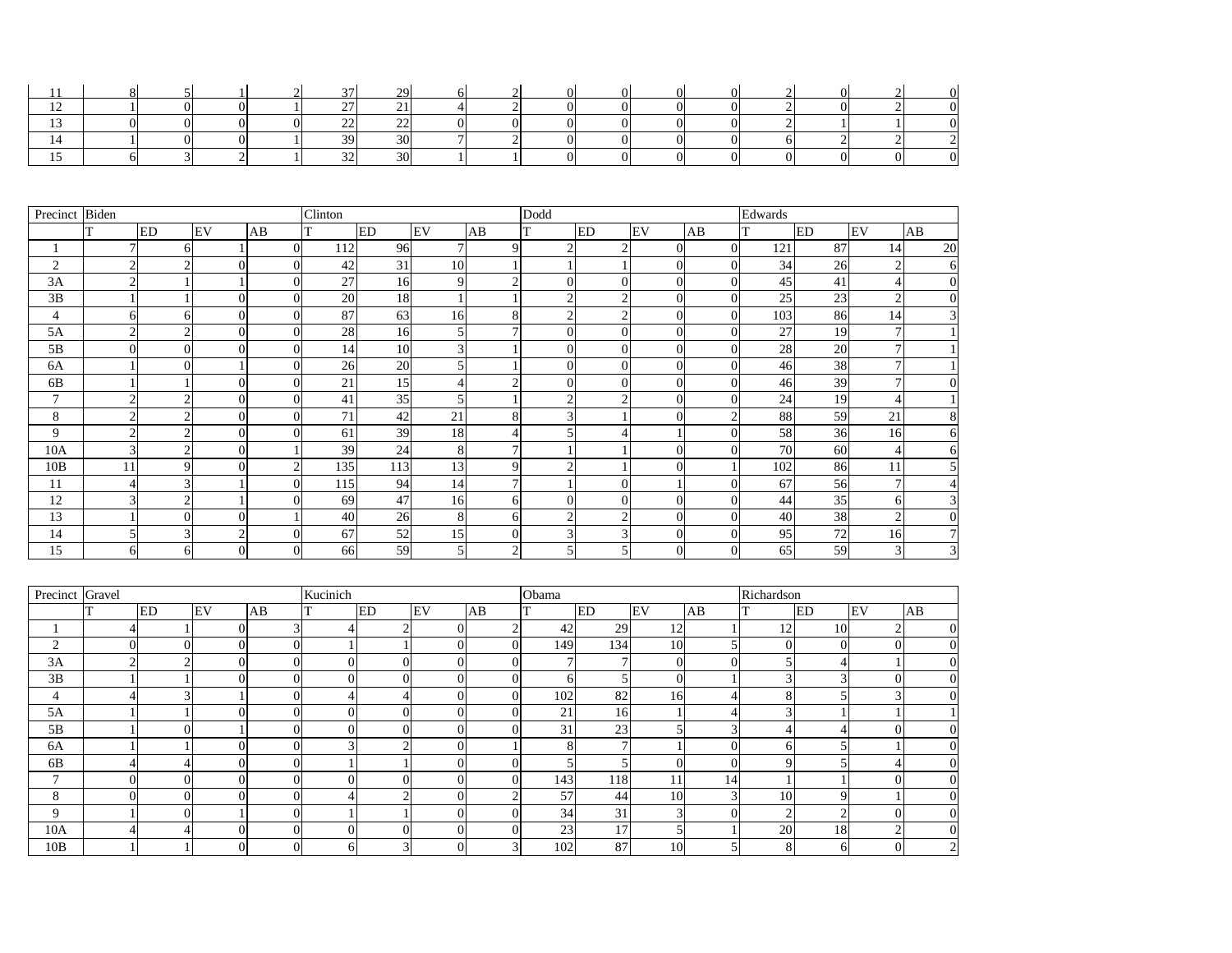|               |  |  | $\sim$       | 20 <sub>o</sub><br>ر ب |   | $\overline{\phantom{0}}$ |  |  |        |  |  |
|---------------|--|--|--------------|------------------------|---|--------------------------|--|--|--------|--|--|
| $\sim$<br>∸∸  |  |  | $\sim$       | $\sim$ 1               |   | ⌒                        |  |  | $\sim$ |  |  |
| $\sim$<br>∸   |  |  | $\sim$<br>-- | $\Omega$<br>--         |   |                          |  |  |        |  |  |
|               |  |  | $\Omega$     | 30                     | - |                          |  |  |        |  |  |
| $\rightarrow$ |  |  | $\sim$<br>◡∸ | 30                     |   |                          |  |  |        |  |  |

| Precinct       | Biden          |              |                |          | Clinton |           |                |                | Dodd           |                                 |                  |                  | Edwards |           |    |                |  |  |
|----------------|----------------|--------------|----------------|----------|---------|-----------|----------------|----------------|----------------|---------------------------------|------------------|------------------|---------|-----------|----|----------------|--|--|
|                |                | <b>ED</b>    | EV             | AB       | T       | <b>ED</b> | EV             | AB             | T              | <b>ED</b>                       | EV               | AB               |         | <b>ED</b> | EV | AB             |  |  |
|                | $\tau$         |              |                | $\Omega$ | 112     | 96        |                | 9              | $\overline{2}$ |                                 | $\theta$         | $\overline{0}$   | 121     | 87        | 14 | 20             |  |  |
| $\overline{2}$ | $\overline{2}$ |              |                |          | 42      | 31        | 10             |                |                |                                 | $\theta$         | $\overline{0}$   | 34      | 26        |    | 6 <sup>l</sup> |  |  |
| 3A             | 2              |              |                | $\Omega$ | 27      | 16        | 9              | ◠              | $\overline{0}$ | 0                               | $\boldsymbol{0}$ | $\overline{0}$   | 45      | 41        |    | $\overline{0}$ |  |  |
| 3B             |                |              | $\theta$       |          | 20      | 18        |                |                | $\overline{2}$ | $\sim$                          | $\overline{0}$   | $\overline{0}$   | 25      | 23        |    | $\overline{0}$ |  |  |
| $\overline{4}$ | 61             | <sub>6</sub> | $\Omega$       | $\Omega$ | 87      | 63        | 16             | 8              | $\overline{2}$ | $\bigcap$                       | $\overline{0}$   | $\Omega$         | 103     | 86        | 14 | 3              |  |  |
| 5A             | $\overline{2}$ |              | $\overline{0}$ |          | 28      | 16        | 5 <sup>1</sup> |                | $\overline{0}$ | $\overline{0}$                  | $\overline{0}$   | $\overline{0}$   | 27      | 19        |    |                |  |  |
| 5B             | $\overline{0}$ |              | $\Omega$       |          | 14      | 10        | $\overline{3}$ |                | $\overline{0}$ | $\overline{0}$                  | $\overline{0}$   | $\theta$         | 28      | 20        |    |                |  |  |
| 6A             |                |              |                | $\theta$ | 26      | 20        |                |                | $\overline{0}$ | $\overline{0}$                  | $\overline{0}$   | $\overline{0}$   | 46      | 38        |    |                |  |  |
| 6 <sub>B</sub> |                |              | $\Omega$       | $\Omega$ | 21      | 15        |                |                | $\overline{0}$ | $\overline{0}$                  | $\overline{0}$   | $\theta$         | 46      | 39        |    | $\Omega$       |  |  |
| 7              | $\overline{2}$ |              | $\Omega$       | $\Omega$ | 41      | 35        |                |                | $\overline{2}$ | <sup><math>\supset</math></sup> | $\overline{0}$   | $\overline{0}$   | 24      | 19        |    |                |  |  |
| 8              | 2 <sub>1</sub> |              | $\Omega$       | $\Omega$ | 71      | 42        | 21             | 8              | 3              |                                 | $\theta$         | $\overline{2}$   | 88      | 59        | 21 | 8              |  |  |
| 9              | $\overline{2}$ |              | $\theta$       | $\Omega$ | 61      | 39        | 18             |                | 5              |                                 |                  | $\overline{0}$   | 58      | 36        | 16 | 61             |  |  |
| 10A            | $\overline{3}$ |              | $\theta$       |          | 39      | 24        | 8              | $\mathbf{r}$   |                |                                 | $\theta$         | $\theta$         | 70      | 60        |    | 61             |  |  |
| 10B            | 11             |              | $\theta$       |          | 135     | 113       | 13             | 9              | $\overline{2}$ |                                 |                  |                  | 102     | 86        | 11 |                |  |  |
| 11             | 41             |              |                |          | 115     | 94        | 14             | $\mathcal{I}$  |                | 0                               |                  | $\overline{0}$   | 67      | 56        |    |                |  |  |
| 12             | 3 <sub>l</sub> |              |                |          | 69      | 47        | 16             | $6 \mid$       | $\overline{0}$ | 0                               | $\overline{0}$   | $\boldsymbol{0}$ | 44      | 35        |    |                |  |  |
| 13             |                |              | $\theta$       |          | 40      | 26        | 8 <sup>l</sup> | $6 \mid$       | $\overline{2}$ | ⌒                               | $\overline{0}$   | $\overline{0}$   | 40      | 38        |    | $\overline{0}$ |  |  |
| 14             |                |              |                |          | 67      | 52        | 15             | $\overline{0}$ | 3              |                                 | $\overline{0}$   | $\Omega$         | 95      | 72        | 16 |                |  |  |
| 15             | 61             |              |                |          | 66      | 59        |                | $\bigcap$      |                |                                 |                  | $\theta$         | 65      | 59        |    | 3              |  |  |

| Precinct Gravel |   |    |          |    | Kucinich |                |                |                | Obama |            |                |                | Richardson     |    |    |          |  |  |
|-----------------|---|----|----------|----|----------|----------------|----------------|----------------|-------|------------|----------------|----------------|----------------|----|----|----------|--|--|
|                 |   | ED | EV       | AB |          | ED             | EV             | AB             |       | ED         | EV             | AB             |                | ED | EV | AB       |  |  |
|                 |   |    |          |    |          | ⌒              | $\Omega$       | $\sim$         | 42    | 29         | 12             |                | 12             | 10 |    | $\Omega$ |  |  |
| $\overline{2}$  | 0 |    | $\Omega$ |    |          |                | $\Omega$       | $\Omega$       | 149   | 134        | 10             |                | $\Omega$       |    |    |          |  |  |
| 3A              | ⌒ |    |          |    | O        | 0              | $\Omega$       | $\theta$       |       |            | $\overline{0}$ | $\Omega$       |                |    |    |          |  |  |
| 3B              |   |    |          |    |          | 0              |                | $\overline{0}$ |       |            | $\overline{0}$ |                |                |    |    |          |  |  |
| 4               |   |    |          |    |          |                |                | 0              | 102   | 82         | 16             | 4              |                |    |    |          |  |  |
| 5A              |   |    |          |    | O.       | 0              | $\Omega$       | $\overline{0}$ | 21    | 16         |                | $\overline{4}$ | 3              |    |    |          |  |  |
| 5B              |   |    |          |    | 0        | $\overline{0}$ | $\theta$       | $\overline{0}$ | 31    | 23         | 5              | $\Omega$       |                |    |    |          |  |  |
| 6A              |   |    | $\Omega$ |    |          | ⌒              | $\Omega$       |                |       |            |                |                | <sub>n</sub>   |    |    | $\Omega$ |  |  |
| 6B              |   |    |          |    |          |                | $\overline{0}$ | $\overline{0}$ |       |            | $\overline{0}$ |                |                |    |    |          |  |  |
| $\mathbf{r}$    | 0 |    | $\theta$ |    | ΩI       | 0              | $\Omega$       | $\overline{0}$ | 143   | <b>118</b> | 11             | 14             |                |    |    | $\Omega$ |  |  |
| 8               | 0 |    | $\Omega$ |    |          | ⌒              | $\overline{0}$ | $\bigcap$      | 57    | 44         | 10             | 3              | 10             |    |    |          |  |  |
| 9               |   |    |          |    |          |                | $\overline{0}$ | $\overline{0}$ | 34    | 31         | 3              |                | $\overline{ }$ |    |    | $\Omega$ |  |  |
| 10A             |   |    |          |    | N        | 01             | $\overline{0}$ | 0              | 23    | 17         | $\mathfrak{S}$ |                | 20             | 18 |    |          |  |  |
| 10B             |   |    | $\Omega$ |    | 61       | 3              | $\overline{0}$ | 3 <sub>l</sub> | 102   | 87         | 10             | 5              | 8              |    |    |          |  |  |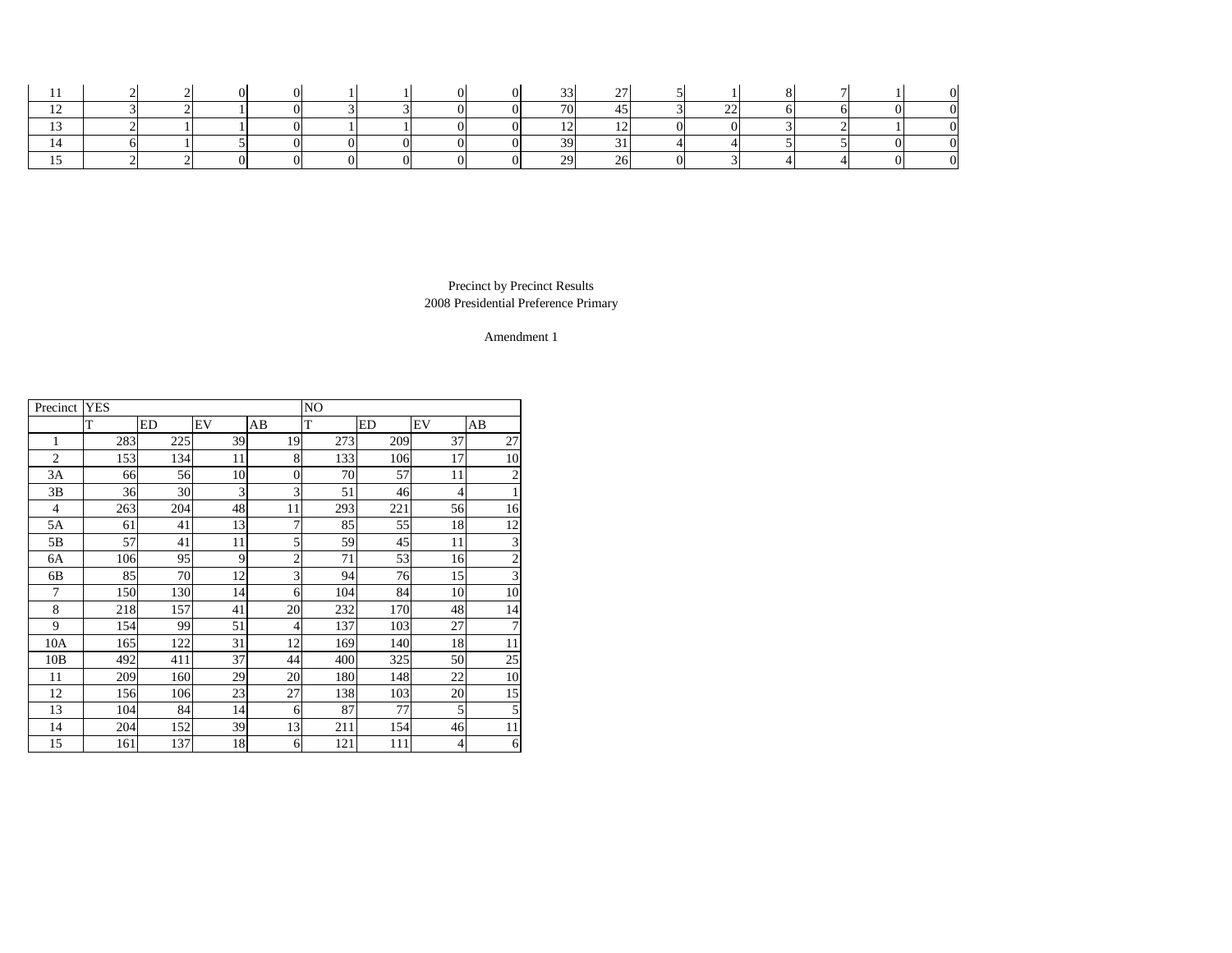|  |  |  |  |    | $\sim$ |  |  |  |
|--|--|--|--|----|--------|--|--|--|
|  |  |  |  | −™ |        |  |  |  |
|  |  |  |  |    |        |  |  |  |
|  |  |  |  | ົ  |        |  |  |  |
|  |  |  |  | ററ | ∠៶     |  |  |  |

| Precinct       | <b>YES</b> |     |    |                  | NO  |           |                 |                |
|----------------|------------|-----|----|------------------|-----|-----------|-----------------|----------------|
|                | T          | ED  | EV | AB               | T   | <b>ED</b> | EV              | AB             |
| $\mathbf{1}$   | 283        | 225 | 39 | 19               | 273 | 209       | 37              | 27             |
| $\overline{2}$ | 153        | 134 | 11 | 8                | 133 | 106       | 17              | 10             |
| 3A             | 66         | 56  | 10 | $\boldsymbol{0}$ | 70  | 57        | 11              | $\overline{2}$ |
| 3B             | 36         | 30  | 3  | 3                | 51  | 46        | $\overline{4}$  |                |
| $\overline{4}$ | 263        | 204 | 48 | 11               | 293 | 221       | 56              | 16             |
| 5A             | 61         | 41  | 13 | 7                | 85  | 55        | 18              | 12             |
| 5B             | 57         | 41  | 11 | 5                | 59  | 45        | 11              | 3              |
| 6A             | 106        | 95  | 9  | $\overline{c}$   | 71  | 53        | 16              | $\overline{2}$ |
| 6B             | 85         | 70  | 12 | 3                | 94  | 76        | 15              | 3              |
| $\overline{7}$ | 150        | 130 | 14 | 6                | 104 | 84        | 10              | 10             |
| 8              | 218        | 157 | 41 | 20               | 232 | 170       | 48              | 14             |
| 9              | 154        | 99  | 51 | $\overline{4}$   | 137 | 103       | 27              | $\overline{7}$ |
| 10A            | 165        | 122 | 31 | 12               | 169 | 140       | 18              | $11\,$         |
| 10B            | 492        | 411 | 37 | 44               | 400 | 325       | 50              | 25             |
| 11             | 209        | 160 | 29 | 20               | 180 | 148       | 22              | 10             |
| 12             | 156        | 106 | 23 | 27               | 138 | 103       | 20              | 15             |
| 13             | 104        | 84  | 14 | 6                | 87  | 77        | 5               | 5              |
| 14             | 204        | 152 | 39 | 13               | 211 | 154       | 46              | 11             |
| 15             | 161        | 137 | 18 | 6                | 121 | 111       | $\vert 4 \vert$ | 6              |

2008 Presidential Preference Primary Precinct by Precinct Results

Amendment 1